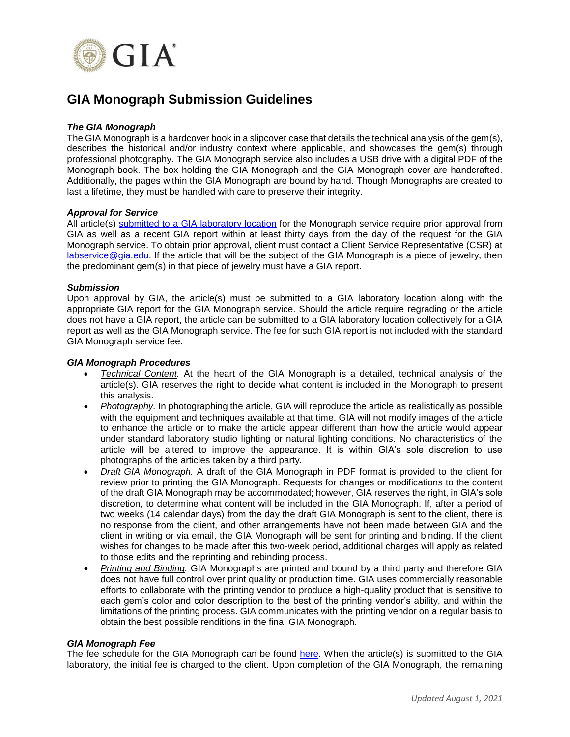

# **GIA Monograph Submission Guidelines**

## *The GIA Monograph*

The GIA Monograph is a hardcover book in a slipcover case that details the technical analysis of the gem(s), describes the historical and/or industry context where applicable, and showcases the gem(s) through professional photography. The GIA Monograph service also includes a USB drive with a digital PDF of the Monograph book. The box holding the GIA Monograph and the GIA Monograph cover are handcrafted. Additionally, the pages within the GIA Monograph are bound by hand. Though Monographs are created to last a lifetime, they must be handled with care to preserve their integrity.

### *Approval for Service*

All article(s) submitted to a GIA [laboratory location](https://www.gia.edu/submit-a-gem-duplicate) for the Monograph service require prior approval from GIA as well as a recent GIA report within at least thirty days from the day of the request for the GIA Monograph service. To obtain prior approval, client must contact a Client Service Representative (CSR) at [labservice@gia.edu.](mailto:labservice@gia.edu) If the article that will be the subject of the GIA Monograph is a piece of jewelry, then the predominant gem(s) in that piece of jewelry must have a GIA report.

### *Submission*

Upon approval by GIA, the article(s) must be submitted to a GIA laboratory location along with the appropriate GIA report for the GIA Monograph service. Should the article require regrading or the article does not have a GIA report, the article can be submitted to a GIA laboratory location collectively for a GIA report as well as the GIA Monograph service. The fee for such GIA report is not included with the standard GIA Monograph service fee.

### *GIA Monograph Procedures*

- *Technical Content.* At the heart of the GIA Monograph is a detailed, technical analysis of the article(s). GIA reserves the right to decide what content is included in the Monograph to present this analysis.
- *Photography.* In photographing the article, GIA will reproduce the article as realistically as possible with the equipment and techniques available at that time. GIA will not modify images of the article to enhance the article or to make the article appear different than how the article would appear under standard laboratory studio lighting or natural lighting conditions. No characteristics of the article will be altered to improve the appearance. It is within GIA's sole discretion to use photographs of the articles taken by a third party.
- *Draft GIA Monograph.* A draft of the GIA Monograph in PDF format is provided to the client for review prior to printing the GIA Monograph. Requests for changes or modifications to the content of the draft GIA Monograph may be accommodated; however, GIA reserves the right, in GIA's sole discretion, to determine what content will be included in the GIA Monograph. If, after a period of two weeks (14 calendar days) from the day the draft GIA Monograph is sent to the client, there is no response from the client, and other arrangements have not been made between GIA and the client in writing or via email, the GIA Monograph will be sent for printing and binding. If the client wishes for changes to be made after this two-week period, additional charges will apply as related to those edits and the reprinting and rebinding process.
- *Printing and Binding.* GIA Monographs are printed and bound by a third party and therefore GIA does not have full control over print quality or production time. GIA uses commercially reasonable efforts to collaborate with the printing vendor to produce a high-quality product that is sensitive to each gem's color and color description to the best of the printing vendor's ability, and within the limitations of the printing process. GIA communicates with the printing vendor on a regular basis to obtain the best possible renditions in the final GIA Monograph.

#### *GIA Monograph Fee*

The fee schedule for the GIA Monograph can be found [here.](https://www.gia.edu/gem-lab-fee-schedule) When the article(s) is submitted to the GIA laboratory, the initial fee is charged to the client. Upon completion of the GIA Monograph, the remaining